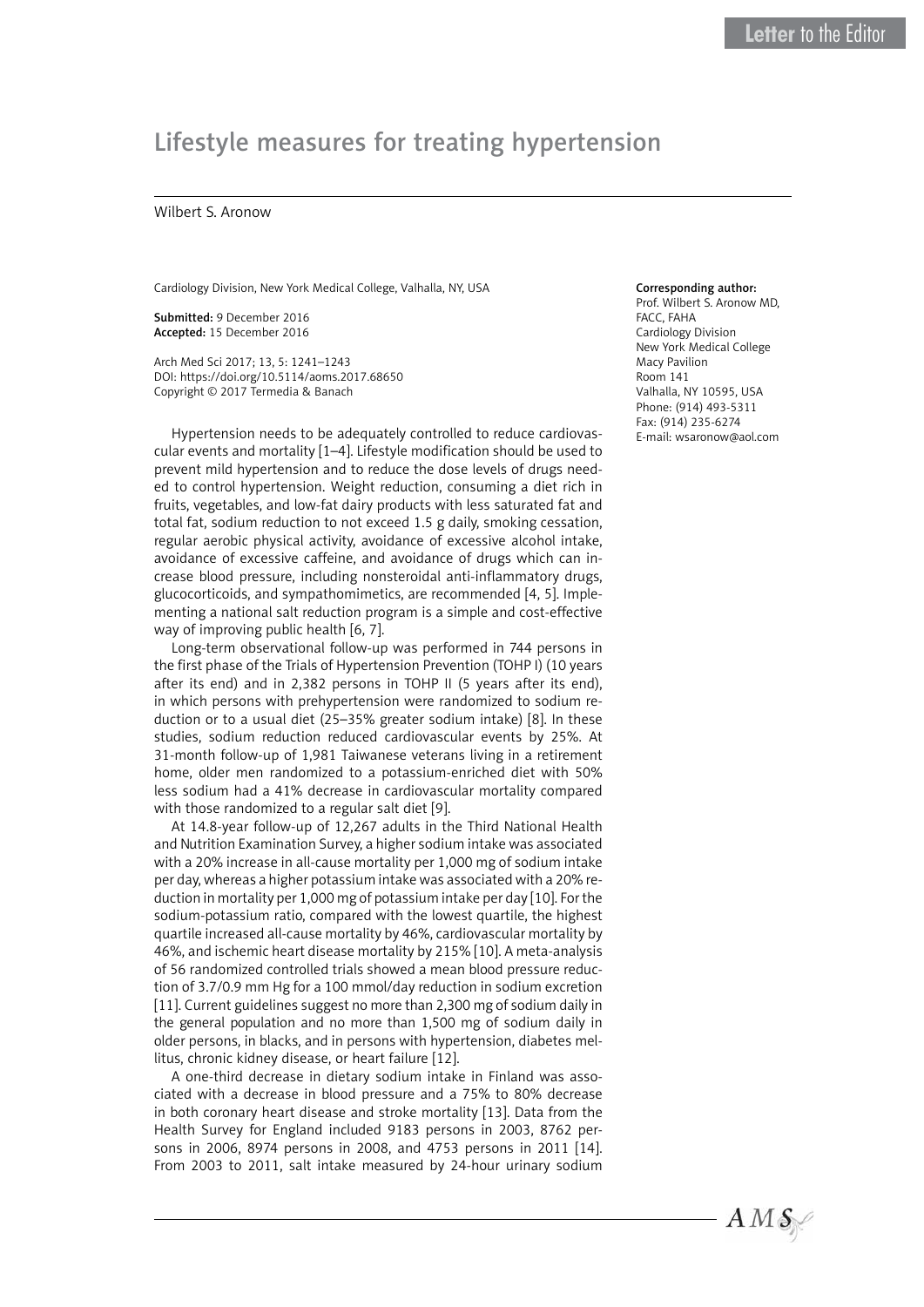## Lifestyle measures for treating hypertension

## Wilbert S. Aronow

Cardiology Division, New York Medical College, Valhalla, NY, USA

Submitted: 9 December 2016 Accepted: 15 December 2016

Arch Med Sci 2017; 13, 5: 1241–1243 DOI: https://doi.org/10.5114/aoms.2017.68650 Copyright © 2017 Termedia & Banach

Hypertension needs to be adequately controlled to reduce cardiovascular events and mortality [1–4]. Lifestyle modification should be used to prevent mild hypertension and to reduce the dose levels of drugs needed to control hypertension. Weight reduction, consuming a diet rich in fruits, vegetables, and low-fat dairy products with less saturated fat and total fat, sodium reduction to not exceed 1.5 g daily, smoking cessation, regular aerobic physical activity, avoidance of excessive alcohol intake, avoidance of excessive caffeine, and avoidance of drugs which can increase blood pressure, including nonsteroidal anti-inflammatory drugs, glucocorticoids, and sympathomimetics, are recommended [4, 5]. Implementing a national salt reduction program is a simple and cost-effective way of improving public health [6, 7].

Long-term observational follow-up was performed in 744 persons in the first phase of the Trials of Hypertension Prevention (TOHP I) (10 years after its end) and in 2,382 persons in TOHP II (5 years after its end), in which persons with prehypertension were randomized to sodium reduction or to a usual diet (25–35% greater sodium intake) [8]. In these studies, sodium reduction reduced cardiovascular events by 25%. At 31-month follow-up of 1,981 Taiwanese veterans living in a retirement home, older men randomized to a potassium-enriched diet with 50% less sodium had a 41% decrease in cardiovascular mortality compared with those randomized to a regular salt diet [9].

At 14.8-year follow-up of 12,267 adults in the Third National Health and Nutrition Examination Survey, a higher sodium intake was associated with a 20% increase in all-cause mortality per 1,000 mg of sodium intake per day, whereas a higher potassium intake was associated with a 20% reduction in mortality per 1,000 mg of potassium intake per day [10]. For the sodium-potassium ratio, compared with the lowest quartile, the highest quartile increased all-cause mortality by 46%, cardiovascular mortality by 46%, and ischemic heart disease mortality by 215% [10]. A meta-analysis of 56 randomized controlled trials showed a mean blood pressure reduction of 3.7/0.9 mm Hg for a 100 mmol/day reduction in sodium excretion [11]. Current guidelines suggest no more than 2,300 mg of sodium daily in the general population and no more than 1,500 mg of sodium daily in older persons, in blacks, and in persons with hypertension, diabetes mellitus, chronic kidney disease, or heart failure [12].

A one-third decrease in dietary sodium intake in Finland was associated with a decrease in blood pressure and a 75% to 80% decrease in both coronary heart disease and stroke mortality [13]. Data from the Health Survey for England included 9183 persons in 2003, 8762 persons in 2006, 8974 persons in 2008, and 4753 persons in 2011 [14]. From 2003 to 2011, salt intake measured by 24-hour urinary sodium

## Corresponding author:

Prof. Wilbert S. Aronow MD, FACC, FAHA Cardiology Division New York Medical College Macy Pavilion Room 141 Valhalla, NY 10595, USA Phone: (914) 493-5311 Fax: (914) 235-6274 E-mail: [wsaronow@aol.com](mailto:wsaronow@aol.com)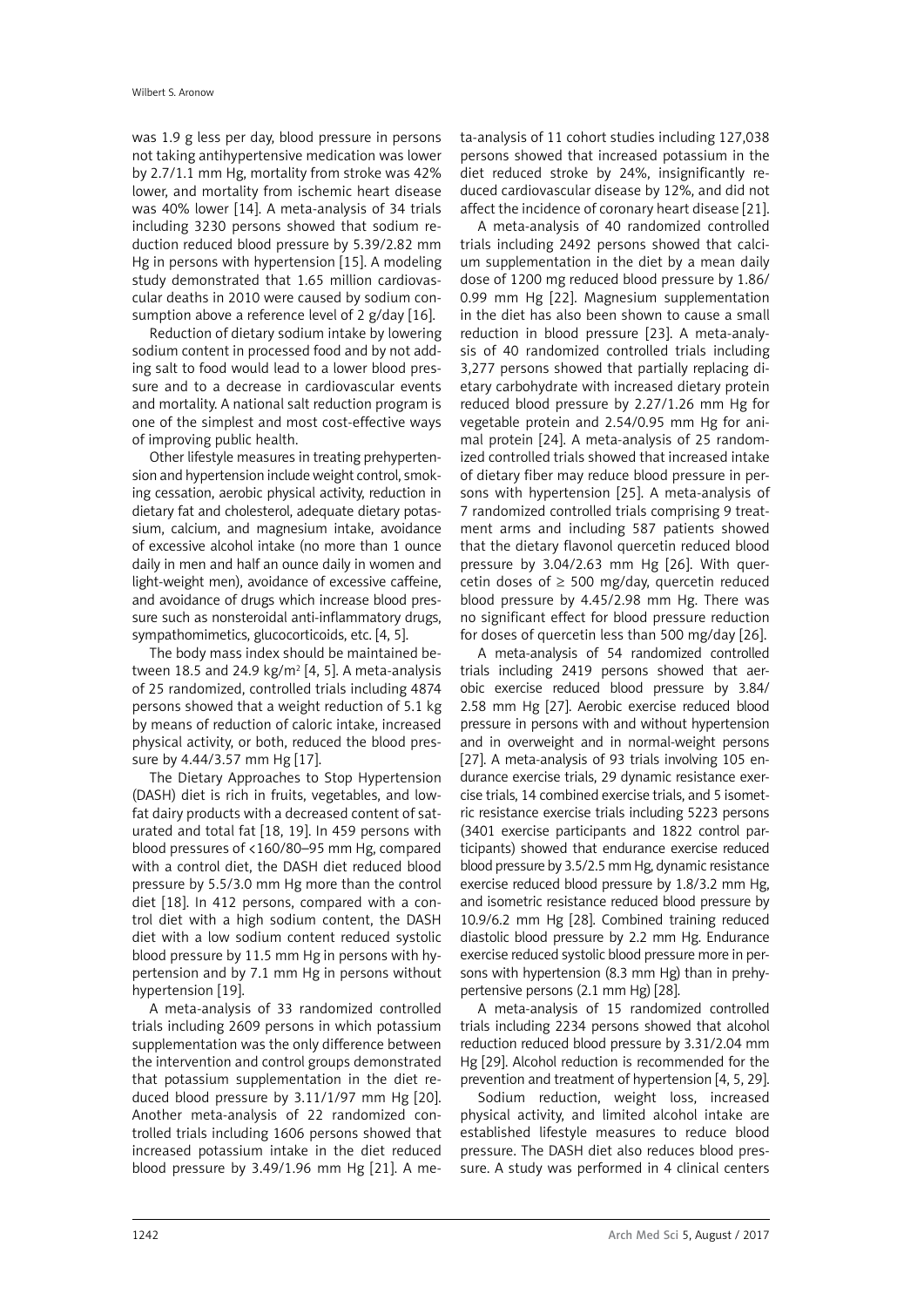was 1.9 g less per day, blood pressure in persons not taking antihypertensive medication was lower by 2.7/1.1 mm Hg, mortality from stroke was 42% lower, and mortality from ischemic heart disease was 40% lower [14]. A meta-analysis of 34 trials including 3230 persons showed that sodium reduction reduced blood pressure by 5.39/2.82 mm Hg in persons with hypertension [15]. A modeling study demonstrated that 1.65 million cardiovascular deaths in 2010 were caused by sodium consumption above a reference level of 2 g/day [16].

Reduction of dietary sodium intake by lowering sodium content in processed food and by not adding salt to food would lead to a lower blood pressure and to a decrease in cardiovascular events and mortality. A national salt reduction program is one of the simplest and most cost-effective ways of improving public health.

Other lifestyle measures in treating prehypertension and hypertension include weight control, smoking cessation, aerobic physical activity, reduction in dietary fat and cholesterol, adequate dietary potassium, calcium, and magnesium intake, avoidance of excessive alcohol intake (no more than 1 ounce daily in men and half an ounce daily in women and light-weight men), avoidance of excessive caffeine, and avoidance of drugs which increase blood pressure such as nonsteroidal anti-inflammatory drugs, sympathomimetics, glucocorticoids, etc. [4, 5].

The body mass index should be maintained between 18.5 and 24.9  $kg/m^2$  [4, 5]. A meta-analysis of 25 randomized, controlled trials including 4874 persons showed that a weight reduction of 5.1 kg by means of reduction of caloric intake, increased physical activity, or both, reduced the blood pressure by 4.44/3.57 mm Hg [17].

The Dietary Approaches to Stop Hypertension (DASH) diet is rich in fruits, vegetables, and lowfat dairy products with a decreased content of saturated and total fat [18, 19]. In 459 persons with blood pressures of <160/80–95 mm Hg, compared with a control diet, the DASH diet reduced blood pressure by 5.5/3.0 mm Hg more than the control diet [18]. In 412 persons, compared with a control diet with a high sodium content, the DASH diet with a low sodium content reduced systolic blood pressure by 11.5 mm Hg in persons with hypertension and by 7.1 mm Hg in persons without hypertension [19].

A meta-analysis of 33 randomized controlled trials including 2609 persons in which potassium supplementation was the only difference between the intervention and control groups demonstrated that potassium supplementation in the diet reduced blood pressure by 3.11/1/97 mm Hg [20]. Another meta-analysis of 22 randomized controlled trials including 1606 persons showed that increased potassium intake in the diet reduced blood pressure by 3.49/1.96 mm Hg [21]. A meta-analysis of 11 cohort studies including 127,038 persons showed that increased potassium in the diet reduced stroke by 24%, insignificantly reduced cardiovascular disease by 12%, and did not affect the incidence of coronary heart disease [21].

A meta-analysis of 40 randomized controlled trials including 2492 persons showed that calcium supplementation in the diet by a mean daily dose of 1200 mg reduced blood pressure by 1.86/ 0.99 mm Hg [22]. Magnesium supplementation in the diet has also been shown to cause a small reduction in blood pressure [23]. A meta-analysis of 40 randomized controlled trials including 3,277 persons showed that partially replacing dietary carbohydrate with increased dietary protein reduced blood pressure by 2.27/1.26 mm Hg for vegetable protein and 2.54/0.95 mm Hg for animal protein [24]. A meta-analysis of 25 randomized controlled trials showed that increased intake of dietary fiber may reduce blood pressure in persons with hypertension [25]. A meta-analysis of 7 randomized controlled trials comprising 9 treatment arms and including 587 patients showed that the dietary flavonol quercetin reduced blood pressure by 3.04/2.63 mm Hg [26]. With quercetin doses of  $\geq$  500 mg/day, quercetin reduced blood pressure by 4.45/2.98 mm Hg. There was no significant effect for blood pressure reduction for doses of quercetin less than 500 mg/day [26].

A meta-analysis of 54 randomized controlled trials including 2419 persons showed that aerobic exercise reduced blood pressure by 3.84/ 2.58 mm Hg [27]. Aerobic exercise reduced blood pressure in persons with and without hypertension and in overweight and in normal-weight persons [27]. A meta-analysis of 93 trials involving 105 endurance exercise trials, 29 dynamic resistance exercise trials, 14 combined exercise trials, and 5 isometric resistance exercise trials including 5223 persons (3401 exercise participants and 1822 control participants) showed that endurance exercise reduced blood pressure by 3.5/2.5 mm Hg, dynamic resistance exercise reduced blood pressure by 1.8/3.2 mm Hg, and isometric resistance reduced blood pressure by 10.9/6.2 mm Hg [28]. Combined training reduced diastolic blood pressure by 2.2 mm Hg. Endurance exercise reduced systolic blood pressure more in persons with hypertension (8.3 mm Hg) than in prehypertensive persons (2.1 mm Hg) [28].

A meta-analysis of 15 randomized controlled trials including 2234 persons showed that alcohol reduction reduced blood pressure by 3.31/2.04 mm Hg [29]. Alcohol reduction is recommended for the prevention and treatment of hypertension [4, 5, 29].

Sodium reduction, weight loss, increased physical activity, and limited alcohol intake are established lifestyle measures to reduce blood pressure. The DASH diet also reduces blood pressure. A study was performed in 4 clinical centers